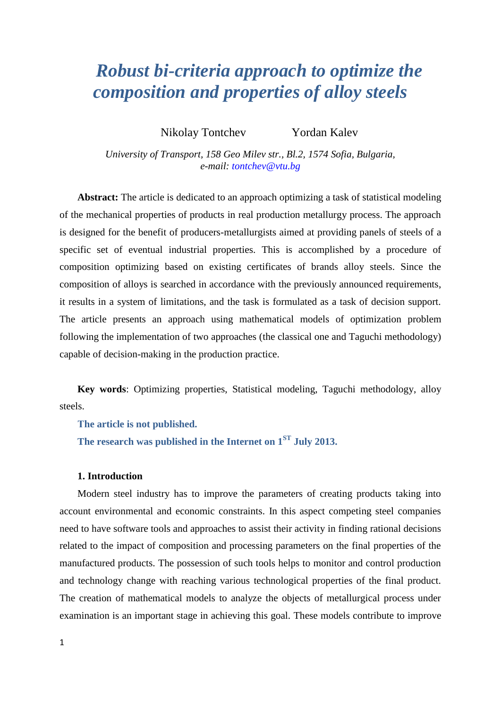# *Robust bi-criteria approach to optimize the composition and properties of alloy steels*

Nikolay Tontchev Yordan Kalev

*University of Transport, 158 Geo Milev str., Bl.2, 1574 Sofia, Bulgaria, e-mail: tontchev@vtu.bg*

**Abstract:** The article is dedicated to an approach optimizing a task of statistical modeling of the mechanical properties of products in real production metallurgy process. The approach is designed for the benefit of producers-metallurgists aimed at providing panels of steels of a specific set of eventual industrial properties. This is accomplished by a procedure of composition optimizing based on existing certificates of brands alloy steels. Since the composition of alloys is searched in accordance with the previously announced requirements, it results in a system of limitations, and the task is formulated as a task of decision support. The article presents an approach using mathematical models of optimization problem following the implementation of two approaches (the classical one and Taguchi methodology) capable of decision-making in the production practice.

**Key words**: Optimizing properties, Statistical modeling, Taguchi methodology, alloy steels.

**Тhe article is not published.**

**The research was published in the Internet on 1ST July 2013.**

# **1. Introduction**

Modern steel industry has to improve the parameters of creating products taking into account environmental and economic constraints. In this aspect competing steel companies need to have software tools and approaches to assist their activity in finding rational decisions related to the impact of composition and processing parameters on the final properties of the manufactured products. The possession of such tools helps to monitor and control production and technology change with reaching various technological properties of the final product. The creation of mathematical models to analyze the objects of metallurgical process under examination is an important stage in achieving this goal. These models contribute to improve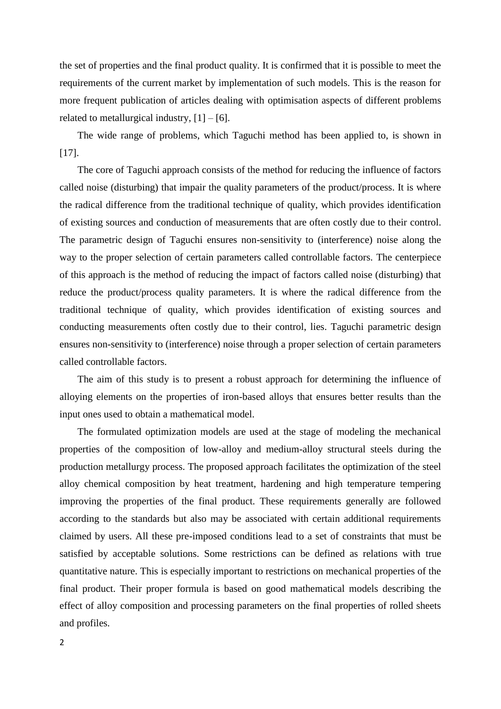the set of properties and the final product quality. It is confirmed that it is possible to meet the requirements of the current market by implementation of such models. This is the reason for more frequent publication of articles dealing with optimisation aspects of different problems related to metallurgical industry,  $[1] - [6]$ .

The wide range of problems, which Taguchi method has been applied to, is shown in [17].

The core of Taguchi approach consists of the method for reducing the influence of factors called noise (disturbing) that impair the quality parameters of the product/process. It is where the radical difference from the traditional technique of quality, which provides identification of existing sources and conduction of measurements that are often costly due to their control. The parametric design of Taguchi ensures non-sensitivity to (interference) noise along the way to the proper selection of certain parameters called controllable factors. The centerpiece of this approach is the method of reducing the impact of factors called noise (disturbing) that reduce the product/process quality parameters. It is where the radical difference from the traditional technique of quality, which provides identification of existing sources and conducting measurements often costly due to their control, lies. Taguchi parametric design ensures non-sensitivity to (interference) noise through a proper selection of certain parameters called controllable factors.

The aim of this study is to present a robust approach for determining the influence of alloying elements on the properties of iron-based alloys that ensures better results than the input ones used to obtain a mathematical model.

The formulated optimization models are used at the stage of modeling the mechanical properties of the composition of low-alloy and medium-alloy structural steels during the production metallurgy process. The proposed approach facilitates the optimization of the steel alloy chemical composition by heat treatment, hardening and high temperature tempering improving the properties of the final product. These requirements generally are followed according to the standards but also may be associated with certain additional requirements claimed by users. All these pre-imposed conditions lead to a set of constraints that must be satisfied by acceptable solutions. Some restrictions can be defined as relations with true quantitative nature. This is especially important to restrictions on mechanical properties of the final product. Their proper formula is based on good mathematical models describing the effect of alloy composition and processing parameters on the final properties of rolled sheets and profiles.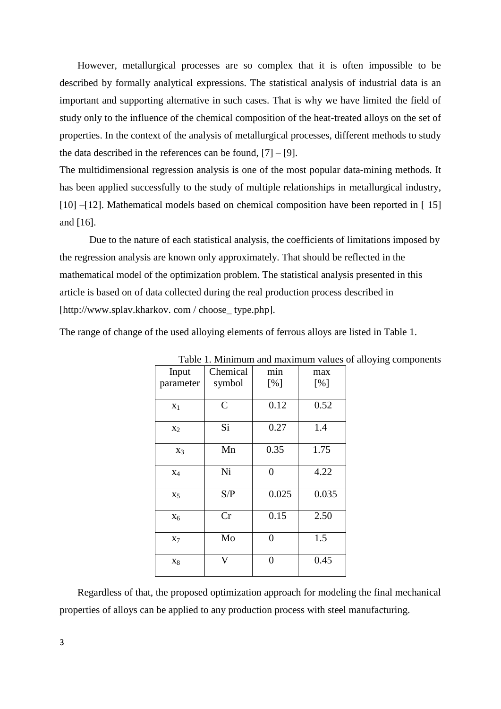However, metallurgical processes are so complex that it is often impossible to be described by formally analytical expressions. The statistical analysis of industrial data is an important and supporting alternative in such cases. That is why we have limited the field of study only to the influence of the chemical composition of the heat-treated alloys on the set of properties. In the context of the analysis of metallurgical processes, different methods to study the data described in the references can be found,  $[7] - [9]$ .

The multidimensional regression analysis is one of the most popular data-mining methods. It has been applied successfully to the study of multiple relationships in metallurgical industry, [10] –[12]. Mathematical models based on chemical composition have been reported in [15] and [16].

Due to the nature of each statistical analysis, the coefficients of limitations imposed by the regression analysis are known only approximately. That should be reflected in the mathematical model of the optimization problem. The statistical analysis presented in this article is based on of data collected during the real production process described in [http://www.splav.kharkov.com / choose\_ type.php].

The range of change of the used alloying elements of ferrous alloys are listed in Table 1.

| Input          | Chemical       | min            | max   |  |  |  |  |  |
|----------------|----------------|----------------|-------|--|--|--|--|--|
| parameter      | symbol         | [%]            | [%]   |  |  |  |  |  |
| $X_1$          | $\overline{C}$ | 0.12           | 0.52  |  |  |  |  |  |
| $X_2$          | Si             | 0.27           | 1.4   |  |  |  |  |  |
| $X_3$          | Mn             | 0.35           | 1.75  |  |  |  |  |  |
| $X_4$          | Ni             | $\overline{0}$ | 4.22  |  |  |  |  |  |
| X <sub>5</sub> | S/P            | 0.025          | 0.035 |  |  |  |  |  |
| $X_6$          | Cr             | 0.15           | 2.50  |  |  |  |  |  |
| $X_7$          | Mo             | 0              | 1.5   |  |  |  |  |  |
| $X_8$          | V              | $\overline{0}$ | 0.45  |  |  |  |  |  |

Table 1. Minimum and maximum values of alloying components

Regardless of that, the proposed optimization approach for modeling the final mechanical properties of alloys can be applied to any production process with steel manufacturing.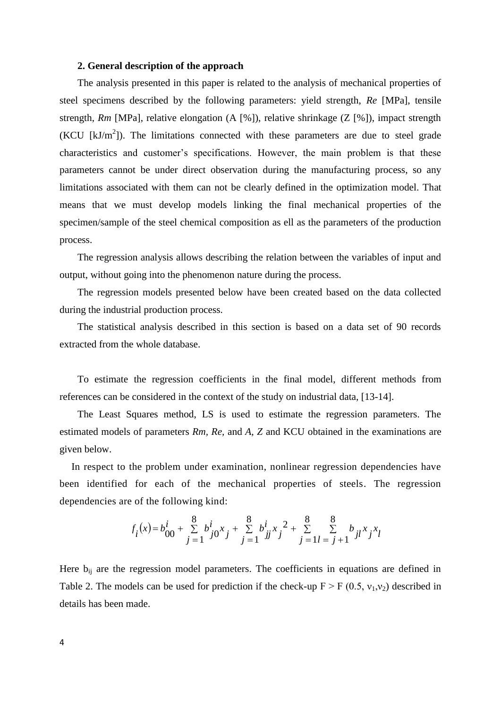### **2. General description of the approach**

The analysis presented in this paper is related to the analysis of mechanical properties of steel specimens described by the following parameters: yield strength, *Re* [MPa], tensile strength, *Rm* [MPa], relative elongation (A [%]), relative shrinkage (Z [%]), impact strength  $(KCU [kJ/m<sup>2</sup>])$ . The limitations connected with these parameters are due to steel grade characteristics and customer's specifications. However, the main problem is that these parameters cannot be under direct observation during the manufacturing process, so any limitations associated with them can not be clearly defined in the optimization model. That means that we must develop models linking the final mechanical properties of the specimen/sample of the steel chemical composition as ell as the parameters of the production process.

The regression analysis allows describing the relation between the variables of input and output, without going into the phenomenon nature during the process.

The regression models presented below have been created based on the data collected during the industrial production process.

The statistical analysis described in this section is based on a data set of 90 records extracted from the whole database.

To estimate the regression coefficients in the final model, different methods from references can be considered in the context of the study on industrial data, [13-14].

The Least Squares method, LS is used to estimate the regression parameters. The estimated models of parameters *Rm, Re,* and *A, Z* and KCU obtained in the examinations are given below.

In respect to the problem under examination, nonlinear regression dependencies have been identified for each of the mechanical properties of steels. The regression dependencies are of the following kind:

$$
f_i(x) = b_{00}^i + \sum_{j=1}^8 b_{j0}^i x_j + \sum_{j=1}^8 b_{jj}^i x_j^2 + \sum_{j=1}^8 \sum_{l=j+1}^8 b_{jl} x_j x_l
$$

Here  $b_{ii}$  are the regression model parameters. The coefficients in equations are defined in Table 2. The models can be used for prediction if the check-up  $F > F(0.5, v_1, v_2)$  described in details has been made.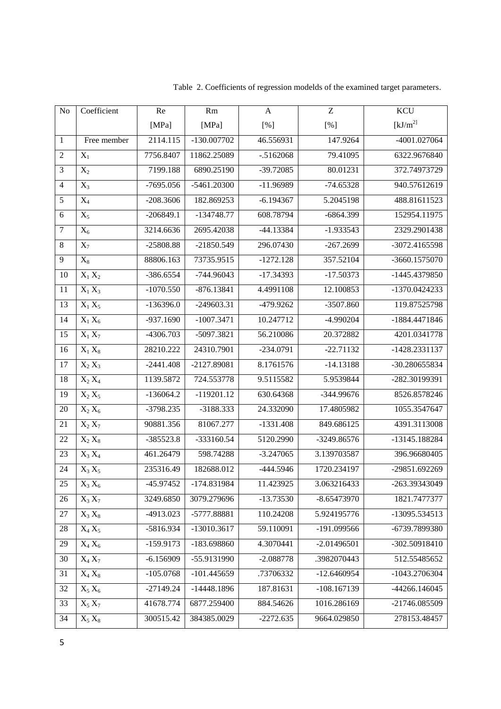| $\rm No$         | Coefficient          | Re          | Rm            | A           | Z             | <b>KCU</b>           |  |
|------------------|----------------------|-------------|---------------|-------------|---------------|----------------------|--|
|                  |                      | [MPa]       | [MPa]         | [%]         | [%]           | [kJ/m <sup>2</sup> ] |  |
| $\mathbf{1}$     | Free member          | 2114.115    | $-130.007702$ | 46.556931   | 147.9264      | -4001.027064         |  |
| $\sqrt{2}$       | $X_1$                | 7756.8407   | 11862.25089   | $-.5162068$ | 79.41095      | 6322.9676840         |  |
| $\mathfrak{Z}$   | $X_2$                | 7199.188    | 6890.25190    | $-39.72085$ | 80.01231      | 372.74973729         |  |
| $\overline{4}$   | $X_3$                | $-7695.056$ | -5461.20300   | $-11.96989$ | $-74.65328$   | 940.57612619         |  |
| $\sqrt{5}$       | $X_4$                | $-208.3606$ | 182.869253    | $-6.194367$ | 5.2045198     | 488.81611523         |  |
| 6                | $X_5$                | $-206849.1$ | $-134748.77$  | 608.78794   | $-6864.399$   | 152954.11975         |  |
| $\boldsymbol{7}$ | $\overline{X_6}$     | 3214.6636   | 2695.42038    | $-44.13384$ | $-1.933543$   | 2329.2901438         |  |
| $8\,$            | $X_7$                | $-25808.88$ | $-21850.549$  | 296.07430   | $-267.2699$   | -3072.4165598        |  |
| 9                | $X_8$                | 88806.163   | 73735.9515    | $-1272.128$ | 357.52104     | -3660.1575070        |  |
| 10               | $X_1 X_2$            | $-386.6554$ | $-744.96043$  | $-17.34393$ | $-17.50373$   | -1445.4379850        |  |
| 11               | $X_1 X_3$            | $-1070.550$ | $-876.13841$  | 4.4991108   | 12.100853     | -1370.0424233        |  |
| 13               | $X_1 X_5$            | $-136396.0$ | $-249603.31$  | -479.9262   | $-3507.860$   | 119.87525798         |  |
| 14               | $X_1 X_6$            | $-937.1690$ | $-1007.3471$  | 10.247712   | -4.990204     | -1884.4471846        |  |
| 15               | $X_1 X_7$            | -4306.703   | -5097.3821    | 56.210086   | 20.372882     | 4201.0341778         |  |
| 16               | $X_1 X_8$            | 28210.222   | 24310.7901    | $-234.0791$ | $-22.71132$   | -1428.2331137        |  |
| 17               | $X_2 X_3$            | $-2441.408$ | -2127.89081   | 8.1761576   | $-14.13188$   | -30.280655834        |  |
| 18               | $X_2 X_4$            | 1139.5872   | 724.553778    | 9.5115582   | 5.9539844     | -282.30199391        |  |
| 19               | $\overline{X_2 X_5}$ | $-136064.2$ | $-119201.12$  | 630.64368   | -344.99676    | 8526.8578246         |  |
| 20               | $X_2 X_6$            | $-3798.235$ | -3188.333     | 24.332090   | 17.4805982    | 1055.3547647         |  |
| 21               | $X_2 X_7$            | 90881.356   | 81067.277     | $-1331.408$ | 849.686125    | 4391.3113008         |  |
| 22               | $X_2 X_8$            | $-385523.8$ | -333160.54    | 5120.2990   | -3249.86576   | -13145.188284        |  |
| 23               | $X_3 X_4$            | 461.26479   | 598.74288     | $-3.247065$ | 3.139703587   | 396.96680405         |  |
| 24               | $X_3 X_5$            | 235316.49   | 182688.012    | $-444.5946$ | 1720.234197   | -29851.692269        |  |
| 25               | $X_3 X_6$            | -45.97452   | -174.831984   | 11.423925   | 3.063216433   | -263.39343049        |  |
| 26               | $X_3 X_7$            | 3249.6850   | 3079.279696   | $-13.73530$ | $-8.65473970$ | 1821.7477377         |  |
| $27\,$           | $X_3 X_8$            | -4913.023   | -5777.88881   | 110.24208   | 5.924195776   | -13095.534513        |  |
| 28               | $X_4 X_5$            | -5816.934   | $-13010.3617$ | 59.110091   | -191.099566   | -6739.7899380        |  |
| 29               | $X_4 X_6$            | $-159.9173$ | -183.698860   | 4.3070441   | $-2.01496501$ | -302.50918410        |  |
| 30               | $X_4 X_7$            | $-6.156909$ | -55.9131990   | $-2.088778$ | .3982070443   | 512.55485652         |  |
| 31               | $X_4 X_8$            | $-105.0768$ | $-101.445659$ | .73706332   | $-12.6460954$ | -1043.2706304        |  |
| 32               | $X_5 X_6$            | $-27149.24$ | $-14448.1896$ | 187.81631   | $-108.167139$ | -44266.146045        |  |
| 33               | $X_5 X_7$            | 41678.774   | 6877.259400   | 884.54626   | 1016.286169   | -21746.085509        |  |
| 34               | $X_5 X_8$            | 300515.42   | 384385.0029   | $-2272.635$ | 9664.029850   | 278153.48457         |  |

Table 2. Coefficients of regression modelds of the examined target parameters.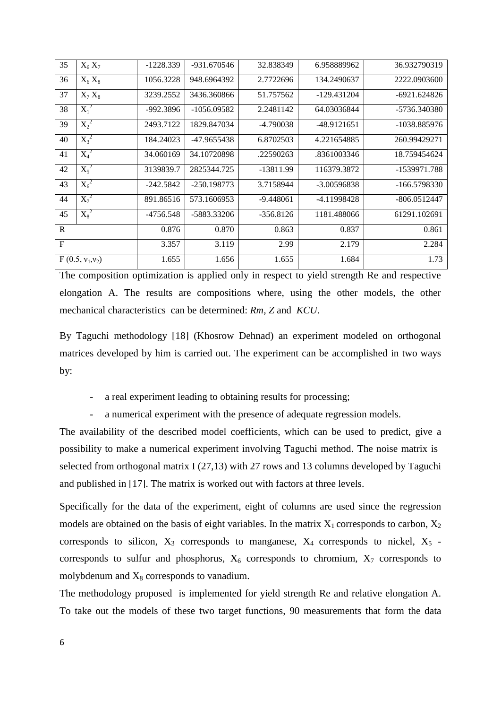| 35           | $X_6 X_7$          | $-1228.339$ | -931.670546   | 32.838349   | 6.958889962 | 36.932790319 |
|--------------|--------------------|-------------|---------------|-------------|-------------|--------------|
| 36           | $X_6 X_8$          | 1056.3228   | 948.6964392   | 2.7722696   | 134.2490637 | 2222.0903600 |
| 37           | $X_7 X_8$          | 3239.2552   | 3436.360866   | 51.757562   | -129.431204 | -6921.624826 |
| 38           | $X_1^2$            | -992.3896   | $-1056.09582$ | 2.2481142   | 64.03036844 | -5736.340380 |
| 39           | $X_2^2$            | 2493.7122   | 1829.847034   | -4.790038   | -48.9121651 | -1038.885976 |
| 40           | $X_3^2$            | 184.24023   | -47.9655438   | 6.8702503   | 4.221654885 | 260.99429271 |
| 41           | $X_4^2$            | 34.060169   | 34.10720898   | .22590263   | .8361003346 | 18.759454624 |
| 42           | $X_5^2$            | 3139839.7   | 2825344.725   | -13811.99   | 116379.3872 | -1539971.788 |
| 43           | $X_6^2$            | $-242.5842$ | $-250.198773$ | 3.7158944   | -3.00596838 | -166.5798330 |
| 44           | $X_7^2$            | 891.86516   | 573.1606953   | $-9.448061$ | -4.11998428 | -806.0512447 |
| 45           | $X_8^2$            | $-4756.548$ | -5883.33206   | $-356.8126$ | 1181.488066 | 61291.102691 |
| R            |                    | 0.876       | 0.870         | 0.863       | 0.837       | 0.861        |
| $\mathbf{F}$ |                    | 3.357       | 3.119         | 2.99        | 2.179       | 2.284        |
|              | $F(0.5, v_1, v_2)$ | 1.655       | 1.656         | 1.655       | 1.684       | 1.73         |

The composition optimization is applied only in respect to yield strength Re and respective elongation A. The results are compositions where, using the other models, the other mechanical characteristics can be determined: *Rm, Z* and *KCU*.

By Taguchi methodology [18] (Khosrow Dehnad) an experiment modeled on orthogonal matrices developed by him is carried out. The experiment can be accomplished in two ways by:

- a real experiment leading to obtaining results for processing;

a numerical experiment with the presence of adequate regression models.

The availability of the described model coefficients, which can be used to predict, give a possibility to make a numerical experiment involving Taguchi method. The noise matrix is selected from orthogonal matrix I (27,13) with 27 rows and 13 columns developed by Taguchi and published in [17]. The matrix is worked out with factors at three levels.

Specifically for the data of the experiment, eight of columns are used since the regression models are obtained on the basis of eight variables. In the matrix  $X_1$  corresponds to carbon,  $X_2$ corresponds to silicon,  $X_3$  corresponds to manganese,  $X_4$  corresponds to nickel,  $X_5$  corresponds to sulfur and phosphorus,  $X_6$  corresponds to chromium,  $X_7$  corresponds to molybdenum and  $X_8$  corresponds to vanadium.

The methodology proposed is implemented for yield strength Re and relative elongation A. To take out the models of these two target functions, 90 measurements that form the data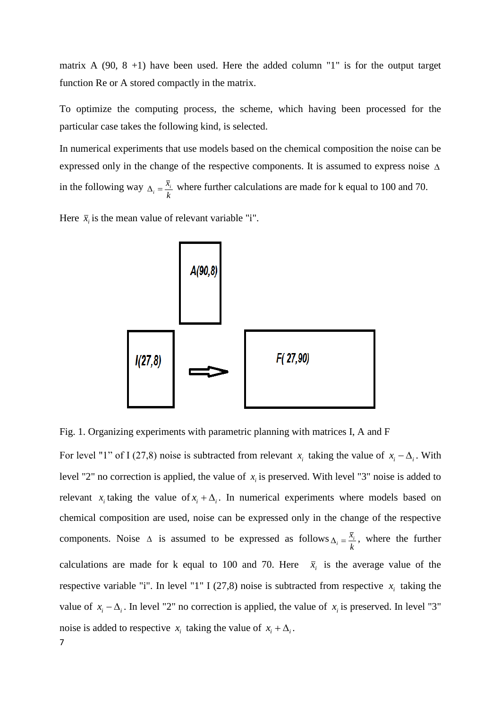matrix A  $(90, 8 +1)$  have been used. Here the added column "1" is for the output target function Re or A stored compactly in the matrix.

To optimize the computing process, the scheme, which having been processed for the particular case takes the following kind, is selected.

In numerical experiments that use models based on the chemical composition the noise can be expressed only in the change of the respective components. It is assumed to express noise  $\Delta$ in the following way  $\Delta_i = \frac{\bar{x}_i}{k}$  where further calculations are made for k equal to 100 and 70.

Here  $\bar{x}_i$  is the mean value of relevant variable "i".



Fig. 1. Organizing experiments with parametric planning with matrices I, A and F

7 For level "1" of I (27,8) noise is subtracted from relevant  $x_i$  taking the value of  $x_i - \Delta_i$ . With level "2" no correction is applied, the value of  $x_i$  is preserved. With level "3" noise is added to relevant  $x_i$  taking the value of  $x_i + \Delta_i$ . In numerical experiments where models based on chemical composition are used, noise can be expressed only in the change of the respective components. Noise  $\triangle$  is assumed to be expressed as follows  $\Delta_i = \frac{\bar{x}_i}{k}$ , where the further calculations are made for k equal to 100 and 70. Here  $\bar{x}_i$  is the average value of the respective variable "i". In level "1" I (27,8) noise is subtracted from respective  $x_i$  taking the value of  $x_i - \Delta_i$ . In level "2" no correction is applied, the value of  $x_i$  is preserved. In level "3" noise is added to respective  $x_i$  taking the value of  $x_i + \Delta_i$ .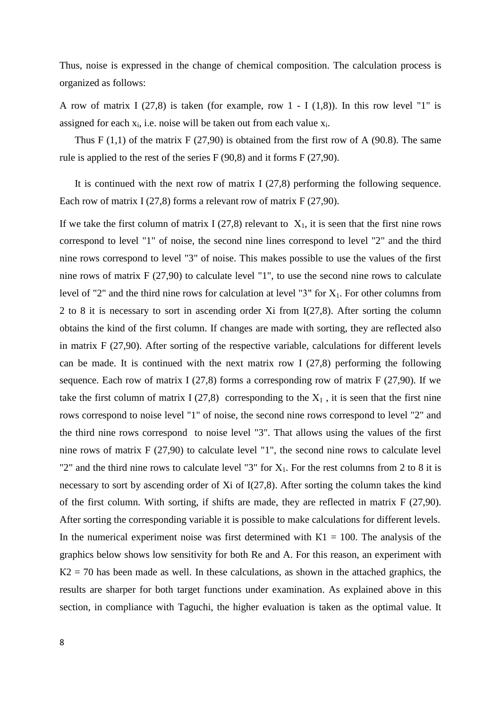Thus, noise is expressed in the change of chemical composition. The calculation process is organized as follows:

A row of matrix I (27,8) is taken (for example, row  $1 - I(1,8)$ ). In this row level "1" is assigned for each  $x_i$ , i.e. noise will be taken out from each value  $x_i$ .

Thus F  $(1,1)$  of the matrix F  $(27,90)$  is obtained from the first row of A  $(90.8)$ . The same rule is applied to the rest of the series F (90,8) and it forms F (27,90).

It is continued with the next row of matrix I (27,8) performing the following sequence. Each row of matrix I  $(27,8)$  forms a relevant row of matrix F  $(27,90)$ .

If we take the first column of matrix I (27,8) relevant to  $X_1$ , it is seen that the first nine rows correspond to level "1" of noise, the second nine lines correspond to level "2" and the third nine rows correspond to level "3" of noise. This makes possible to use the values of the first nine rows of matrix F (27,90) to calculate level "1", to use the second nine rows to calculate level of "2" and the third nine rows for calculation at level "3" for  $X_1$ . For other columns from 2 to 8 it is necessary to sort in ascending order Xi from I(27,8). After sorting the column obtains the kind of the first column. If changes are made with sorting, they are reflected also in matrix F (27,90). After sorting of the respective variable, calculations for different levels can be made. It is continued with the next matrix row I  $(27,8)$  performing the following sequence. Each row of matrix I (27,8) forms a corresponding row of matrix  $F(27,90)$ . If we take the first column of matrix I (27,8) corresponding to the  $X_1$ , it is seen that the first nine rows correspond to noise level "1" of noise, the second nine rows correspond to level "2" and the third nine rows correspond to noise level "3". That allows using the values of the first nine rows of matrix F (27,90) to calculate level "1", the second nine rows to calculate level "2" and the third nine rows to calculate level "3" for  $X_1$ . For the rest columns from 2 to 8 it is necessary to sort by ascending order of Xi of I(27,8). After sorting the column takes the kind of the first column. With sorting, if shifts are made, they are reflected in matrix F (27,90). After sorting the corresponding variable it is possible to make calculations for different levels. In the numerical experiment noise was first determined with  $K1 = 100$ . The analysis of the graphics below shows low sensitivity for both Re and A. For this reason, an experiment with  $K2 = 70$  has been made as well. In these calculations, as shown in the attached graphics, the results are sharper for both target functions under examination. As explained above in this section, in compliance with Taguchi, the higher evaluation is taken as the optimal value. It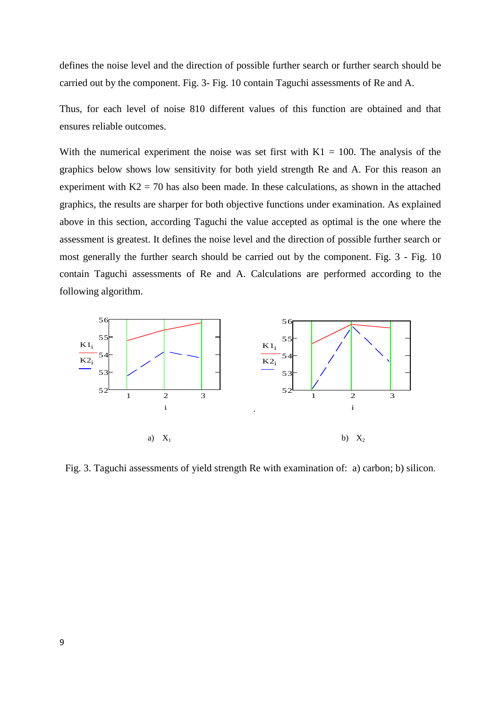defines the noise level and the direction of possible further search or further search should be carried out by the component. Fig. 3- Fig. 10 contain Taguchi assessments of Re and A.

Thus, for each level of noise 810 different values of this function are obtained and that ensures reliable outcomes.

With the numerical experiment the noise was set first with  $K1 = 100$ . The analysis of the graphics below shows low sensitivity for both yield strength Re and A. For this reason an experiment with  $K2 = 70$  has also been made. In these calculations, as shown in the attached graphics, the results are sharper for both objective functions under examination. As explained above in this section, according Taguchi the value accepted as optimal is the one where the assessment is greatest. It defines the noise level and the direction of possible further search or most generally the further search should be carried out by the component. Fig. 3 - Fig. 10 contain Taguchi assessments of Re and A. Calculations are performed according to the following algorithm.



Fig. 3. Taguchi assessments of yield strength Re with examination of: a) carbon; b) silicon.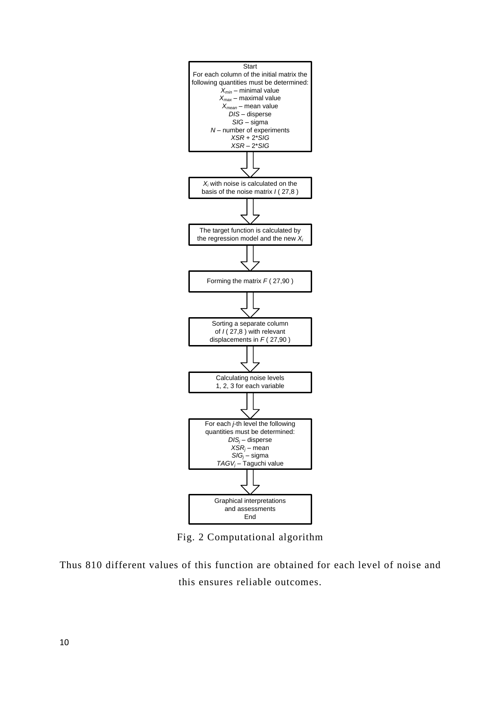

Fig. 2 Computational algorithm

Thus 810 different values of this function are obtained for each level of noise and this ensures reliable outcomes.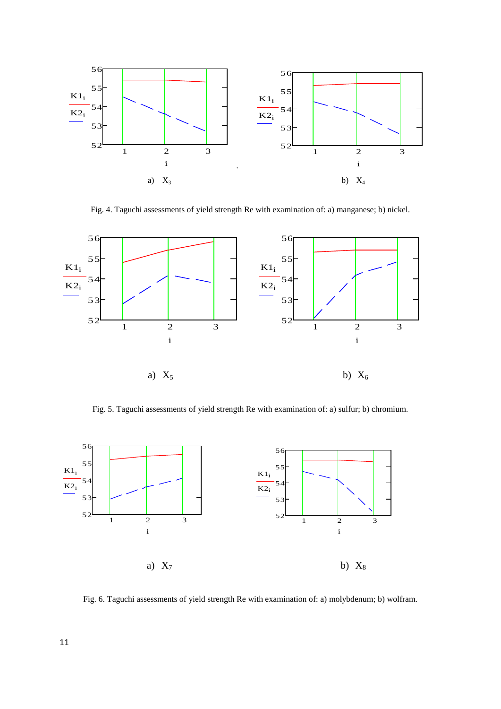

Fig. 4. Taguchi assessments of yield strength Re with examination of: a) manganese; b) nickel.



Fig. 5. Taguchi assessments of yield strength Re with examination of: a) sulfur; b) chromium.



Fig. 6. Taguchi assessments of yield strength Re with examination of: a) molybdenum; b) wolfram.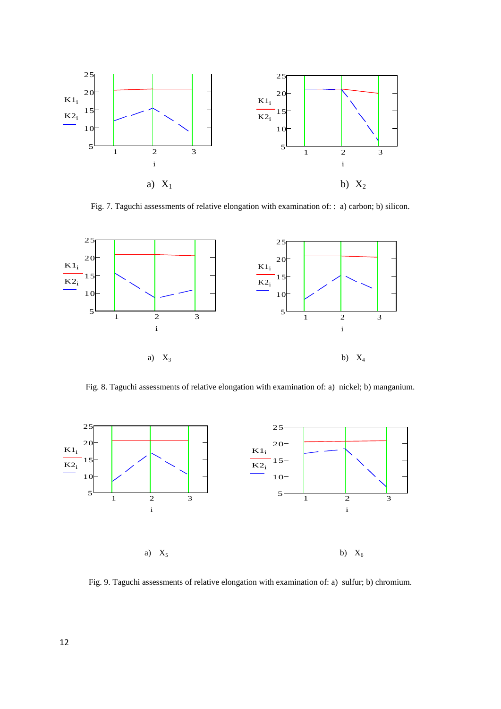

Fig. 7. Taguchi assessments of relative elongation with examination of: : a) carbon; b) silicon.



Fig. 8. Taguchi assessments of relative elongation with examination of: a) nickel; b) manganium.



Fig. 9. Taguchi assessments of relative elongation with examination of: a) sulfur; b) chromium.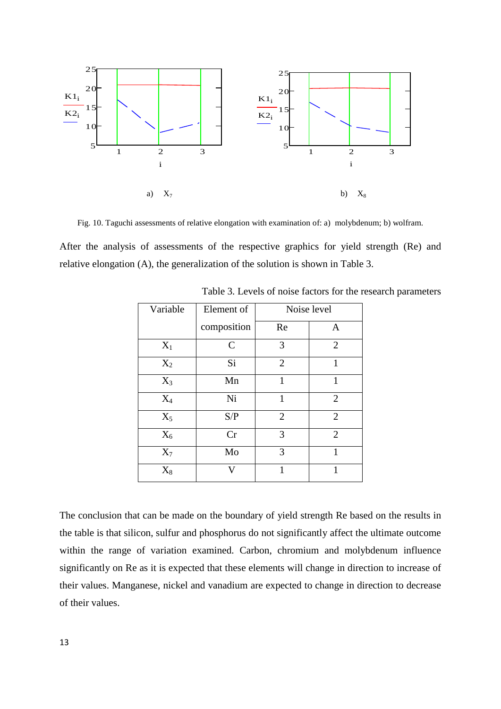

Fig. 10. Taguchi assessments of relative elongation with examination of: a) molybdenum; b) wolfram.

After the analysis of assessments of the respective graphics for yield strength (Re) and relative elongation (A), the generalization of the solution is shown in Table 3.

| Variable       | Element of  | Noise level    |                |  |  |
|----------------|-------------|----------------|----------------|--|--|
|                | composition | Re             | $\mathbf{A}$   |  |  |
| $X_1$          | $\mathbf C$ | 3              | $\overline{2}$ |  |  |
| $X_2$          | Si          | $\overline{2}$ | 1              |  |  |
| $X_3$          | Mn          | 1              | 1              |  |  |
| $\mathbf{X}_4$ | Ni          | 1              | $\overline{2}$ |  |  |
| $X_5$          | S/P         | $\overline{2}$ | $\overline{2}$ |  |  |
| $X_6$          | Cr          | 3              | $\overline{2}$ |  |  |
| $X_7$          | Mo          | 3              | 1              |  |  |
| $X_8$          | V           | 1              |                |  |  |

Table 3. Levels of noise factors for the research parameters

The conclusion that can be made on the boundary of yield strength Re based on the results in the table is that silicon, sulfur and phosphorus do not significantly affect the ultimate outcome within the range of variation examined. Carbon, chromium and molybdenum influence significantly on Re as it is expected that these elements will change in direction to increase of their values. Manganese, nickel and vanadium are expected to change in direction to decrease of their values.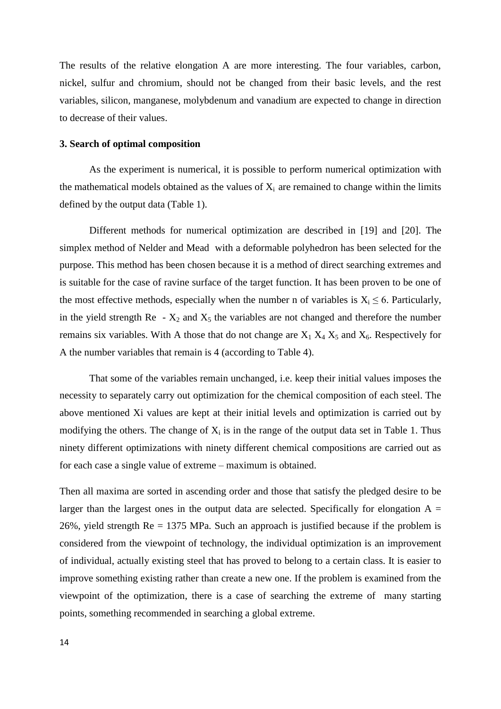The results of the relative elongation A are more interesting. The four variables, carbon, nickel, sulfur and chromium, should not be changed from their basic levels, and the rest variables, silicon, manganese, molybdenum and vanadium are expected to change in direction to decrease of their values.

#### **3. Search of optimal composition**

As the experiment is numerical, it is possible to perform numerical optimization with the mathematical models obtained as the values of  $X_i$  are remained to change within the limits defined by the output data (Table 1).

Different methods for numerical optimization are described in [19] and [20]. The simplex method of Nelder and Mead with a deformable polyhedron has been selected for the purpose. This method has been chosen because it is a method of direct searching extremes and is suitable for the case of ravine surface of the target function. It has been proven to be one of the most effective methods, especially when the number n of variables is  $X_i \leq 6$ . Particularly, in the yield strength Re  $- X_2$  and  $X_5$  the variables are not changed and therefore the number remains six variables. With A those that do not change are  $X_1 X_4 X_5$  and  $X_6$ . Respectively for A the number variables that remain is 4 (according to Table 4).

That some of the variables remain unchanged, i.e. keep their initial values imposes the necessity to separately carry out optimization for the chemical composition of each steel. The above mentioned Xi values are kept at their initial levels and optimization is carried out by modifying the others. The change of  $X_i$  is in the range of the output data set in Table 1. Thus ninety different optimizations with ninety different chemical compositions are carried out as for each case a single value of extreme – maximum is obtained.

Then all maxima are sorted in ascending order and those that satisfy the pledged desire to be larger than the largest ones in the output data are selected. Specifically for elongation  $A =$ 26%, yield strength Re = 1375 MPa. Such an approach is justified because if the problem is considered from the viewpoint of technology, the individual optimization is an improvement of individual, actually existing steel that has proved to belong to a certain class. It is easier to improve something existing rather than create a new one. If the problem is examined from the viewpoint of the optimization, there is a case of searching the extreme of many starting points, something recommended in searching a global extreme.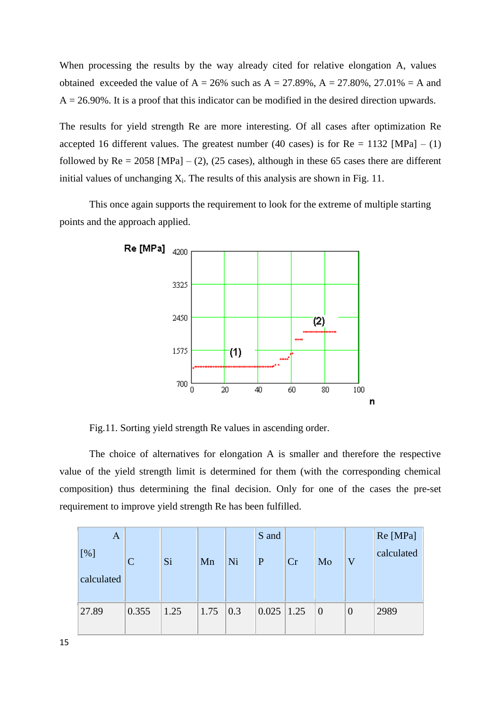When processing the results by the way already cited for relative elongation A, values obtained exceeded the value of  $A = 26\%$  such as  $A = 27.89\%$ ,  $A = 27.80\%$ , 27.01% = A and  $A = 26.90\%$ . It is a proof that this indicator can be modified in the desired direction upwards.

The results for yield strength Re are more interesting. Of all cases after optimization Re accepted 16 different values. The greatest number (40 cases) is for  $Re = 1132$  [MPa] – (1) followed by  $\text{Re} = 2058$  [MPa] – (2), (25 cases), although in these 65 cases there are different initial values of unchanging  $X_i$ . The results of this analysis are shown in Fig. 11.

This once again supports the requirement to look for the extreme of multiple starting points and the approach applied.



Fig.11. Sorting yield strength Re values in ascending order.

The choice of alternatives for elongation A is smaller and therefore the respective value of the yield strength limit is determined for them (with the corresponding chemical composition) thus determining the final decision. Only for one of the cases the pre-set requirement to improve yield strength Re has been fulfilled.

| A          |              |      |      |     | S and          |    |                |          | Re [MPa]   |
|------------|--------------|------|------|-----|----------------|----|----------------|----------|------------|
| [%]        | $\mathsf{C}$ | Si   | Mn   | Ni  | P              | Cr | Mo             | V        | calculated |
| calculated |              |      |      |     |                |    |                |          |            |
|            |              |      |      |     |                |    |                |          |            |
| 27.89      | 0.355        | 1.25 | 1.75 | 0.3 | $0.025$   1.25 |    | $\overline{0}$ | $\theta$ | 2989       |
|            |              |      |      |     |                |    |                |          |            |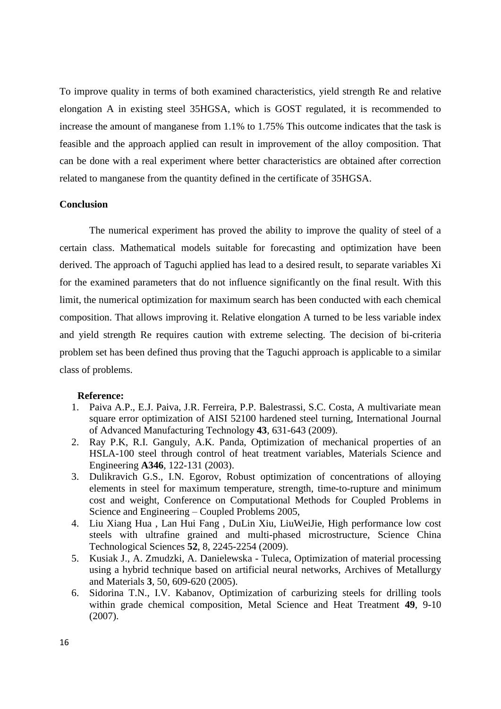To improve quality in terms of both examined characteristics, yield strength Re and relative elongation A in existing steel 35HGSA, which is GOST regulated, it is recommended to increase the amount of manganese from 1.1% to 1.75% This outcome indicates that the task is feasible and the approach applied can result in improvement of the alloy composition. That can be done with a real experiment where better characteristics are obtained after correction related to manganese from the quantity defined in the certificate of 35HGSA.

# **Conclusion**

The numerical experiment has proved the ability to improve the quality of steel of a certain class. Mathematical models suitable for forecasting and optimization have been derived. The approach of Taguchi applied has lead to a desired result, to separate variables Xi for the examined parameters that do not influence significantly on the final result. With this limit, the numerical optimization for maximum search has been conducted with each chemical composition. That allows improving it. Relative elongation A turned to be less variable index and yield strength Re requires caution with extreme selecting. The decision of bi-criteria problem set has been defined thus proving that the Taguchi approach is applicable to a similar class of problems.

#### **Reference:**

- 1. Paiva A.P., E.J. Paiva, J.R. Ferreira, P.P. Balestrassi, S.C. Costa, A multivariate mean square error optimization of AISI 52100 hardened steel turning, International Journal of Advanced Manufacturing Technology **43**, 631-643 (2009).
- 2. Ray P.K, R.I. Ganguly, A.K. Panda, Optimization of mechanical properties of an HSLA-100 steel through control of heat treatment variables, Materials Science and Engineering **A346**, 122-131 (2003).
- 3. Dulikravich G.S., I.N. Egorov, Robust optimization of concentrations of alloying elements in steel for maximum temperature, strength, time-to-rupture and minimum cost and weight, Conference on Computational Methods for Coupled Problems in Science and Engineering – Coupled Problems 2005,
- 4. Liu Xiang Hua , Lan Hui Fang , DuLin Xiu, LiuWeiJie, High performance low cost steels with ultrafine grained and multi-phased microstructure, Science China Technological Sciences **52**, 8, 2245-2254 (2009).
- 5. Kusiak J., A. Zmudzki, A. Danielewska Tuleca, Optimization of material processing using a hybrid technique based on artificial neural networks, Archives of Metallurgy and Materials **3**, 50, 609-620 (2005).
- 6. Sidorina T.N., I.V. Kabanov, Optimization of carburizing steels for drilling tools within grade chemical composition, Metal Science and Heat Treatment **49**, 9-10 (2007).